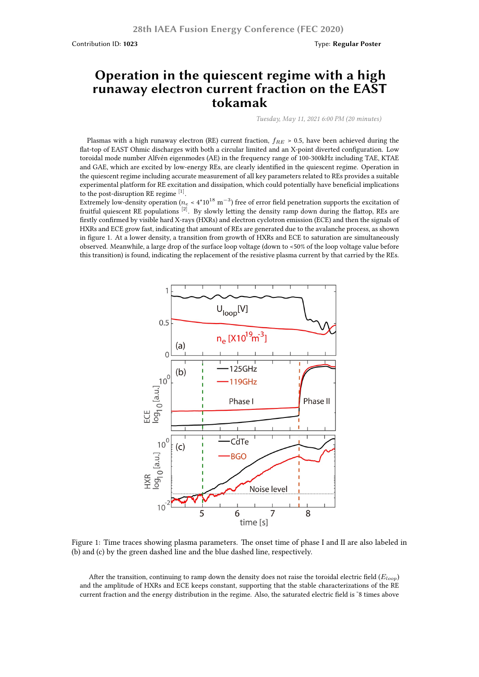Contribution ID: **1023** Type: **Regular Poster**

## **Operation in the quiescent regime with a high runaway electron current fraction on the EAST tokamak**

*Tuesday, May 11, 2021 6:00 PM (20 minutes)*

Plasmas with a high runaway electron (RE) current fraction, *fRE* > 0.5, have been achieved during the flat-top of EAST Ohmic discharges with both a circular limited and an X-point diverted configuration. Low toroidal mode number Alfvén eigenmodes (AE) in the frequency range of 100-300kHz including TAE, KTAE and GAE, which are excited by low-energy REs, are clearly identified in the quiescent regime. Operation in the quiescent regime including accurate measurement of all key parameters related to REs provides a suitable experimental platform for RE excitation and dissipation, which could potentially have beneficial implications to the post-disruption RE regime  $^{[1]}$ .

Extremely low-density operation ( $n_e$  < 4\*10 $^{18}$  m $^{-3})$  free of error field penetration supports the excitation of fruitful quiescent RE populations  $[2]$ . By slowly letting the density ramp down during the flattop, REs are firstly confirmed by visible hard X-rays (HXRs) and electron cyclotron emission (ECE) and then the signals of HXRs and ECE grow fast, indicating that amount of REs are generated due to the avalanche process, as shown in figure 1. At a lower density, a transition from growth of HXRs and ECE to saturation are simultaneously observed. Meanwhile, a large drop of the surface loop voltage (down to <50% of the loop voltage value before this transition) is found, indicating the replacement of the resistive plasma current by that carried by the REs.



Figure 1: Time traces showing plasma parameters. The onset time of phase I and II are also labeled in (b) and (c) by the green dashed line and the blue dashed line, respectively.

After the transition, continuing to ramp down the density does not raise the toroidal electric field (*Eloop*) and the amplitude of HXRs and ECE keeps constant, supporting that the stable characterizations of the RE current fraction and the energy distribution in the regime. Also, the saturated electric field is ~8 times above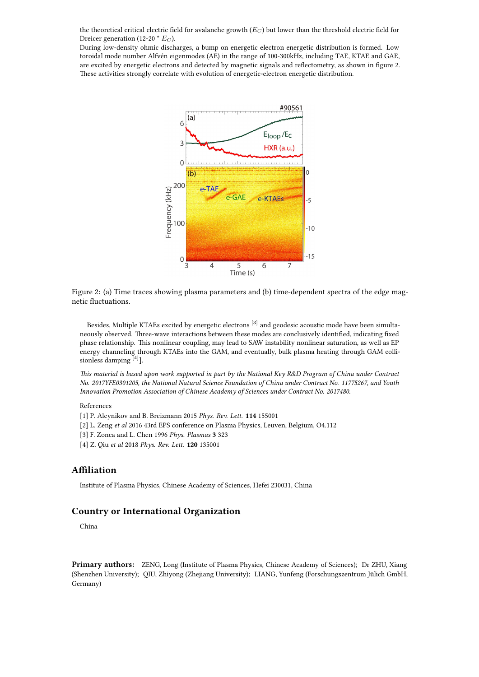the theoretical critical electric field for avalanche growth (*E<sup>C</sup>* ) but lower than the threshold electric field for Dreicer generation (12-20 \* *E<sup>C</sup>* ).

During low-density ohmic discharges, a bump on energetic electron energetic distribution is formed. Low toroidal mode number Alfvén eigenmodes (AE) in the range of 100-300kHz, including TAE, KTAE and GAE, are excited by energetic electrons and detected by magnetic signals and reflectometry, as shown in figure 2. These activities strongly correlate with evolution of energetic-electron energetic distribution.



Figure 2: (a) Time traces showing plasma parameters and (b) time-dependent spectra of the edge magnetic fluctuations.

Besides, Multiple KTAEs excited by energetic electrons <sup>[3]</sup> and geodesic acoustic mode have been simultaneously observed. Three-wave interactions between these modes are conclusively identified, indicating fixed phase relationship. This nonlinear coupling, may lead to SAW instability nonlinear saturation, as well as EP energy channeling through KTAEs into the GAM, and eventually, bulk plasma heating through GAM collisionless damping [4].

*This material is based upon work supported in part by the National Key R&D Program of China under Contract No. 2017YFE0301205, the National Natural Science Foundation of China under Contract No. 11775267, and Youth Innovation Promotion Association of Chinese Academy of Sciences under Contract No. 2017480.*

## References

- [1] P. Aleynikov and B. Breizmann 2015 *Phys. Rev. Lett.* **114** 155001
- [2] L. Zeng *et al* 2016 43rd EPS conference on Plasma Physics, Leuven, Belgium, O4.112
- [3] F. Zonca and L. Chen 1996 *Phys. Plasmas* **3** 323
- [4] Z. Qiu *et al* 2018 *Phys. Rev. Lett.* **120** 135001

## **Affiliation**

Institute of Plasma Physics, Chinese Academy of Sciences, Hefei 230031, China

## **Country or International Organization**

China

**Primary authors:** ZENG, Long (Institute of Plasma Physics, Chinese Academy of Sciences); Dr ZHU, Xiang (Shenzhen University); QIU, Zhiyong (Zhejiang University); LIANG, Yunfeng (Forschungszentrum Jülich GmbH, Germany)